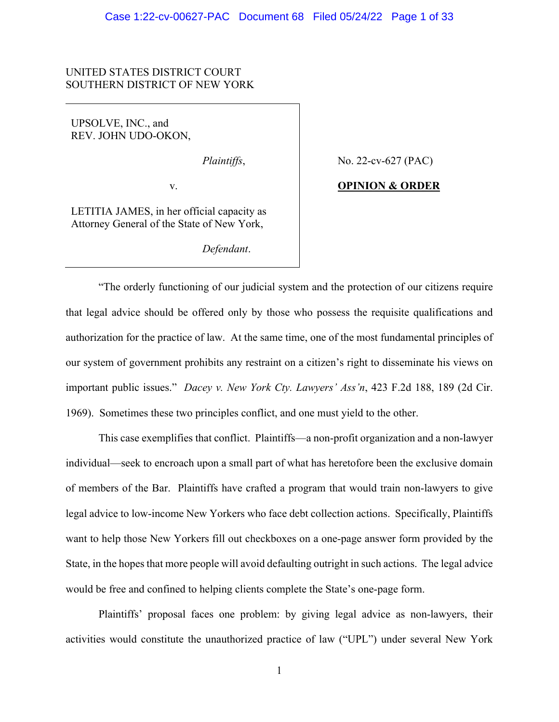# UNITED STATES DISTRICT COURT SOUTHERN DISTRICT OF NEW YORK

UPSOLVE, INC., and REV. JOHN UDO-OKON,

*Plaintiffs*,

v.

LETITIA JAMES, in her official capacity as Attorney General of the State of New York,

*Defendant*.

No. 22-cv-627 (PAC)

# **OPINION & ORDER**

"The orderly functioning of our judicial system and the protection of our citizens require that legal advice should be offered only by those who possess the requisite qualifications and authorization for the practice of law. At the same time, one of the most fundamental principles of our system of government prohibits any restraint on a citizen's right to disseminate his views on important public issues." *Dacey v. New York Cty. Lawyers' Ass'n*, 423 F.2d 188, 189 (2d Cir. 1969). Sometimes these two principles conflict, and one must yield to the other.

This case exemplifies that conflict. Plaintiffs—a non-profit organization and a non-lawyer individual—seek to encroach upon a small part of what has heretofore been the exclusive domain of members of the Bar. Plaintiffs have crafted a program that would train non-lawyers to give legal advice to low-income New Yorkers who face debt collection actions. Specifically, Plaintiffs want to help those New Yorkers fill out checkboxes on a one-page answer form provided by the State, in the hopes that more people will avoid defaulting outright in such actions. The legal advice would be free and confined to helping clients complete the State's one-page form.

Plaintiffs' proposal faces one problem: by giving legal advice as non-lawyers, their activities would constitute the unauthorized practice of law ("UPL") under several New York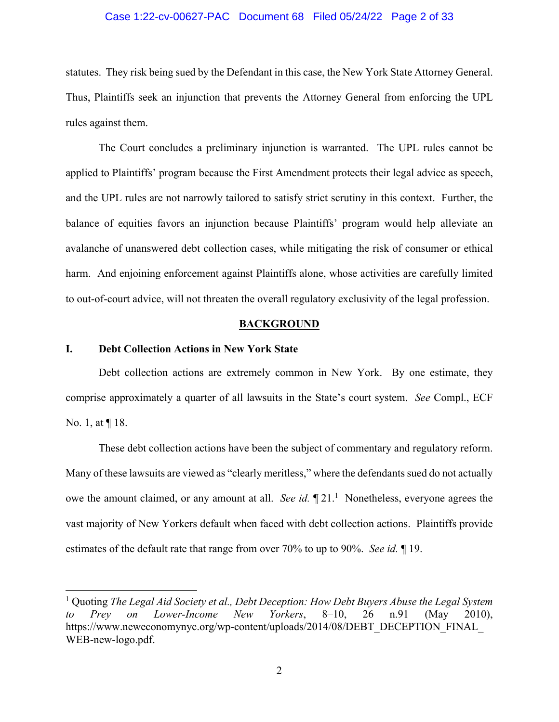#### Case 1:22-cv-00627-PAC Document 68 Filed 05/24/22 Page 2 of 33

statutes. They risk being sued by the Defendant in this case, the New York State Attorney General. Thus, Plaintiffs seek an injunction that prevents the Attorney General from enforcing the UPL rules against them.

The Court concludes a preliminary injunction is warranted. The UPL rules cannot be applied to Plaintiffs' program because the First Amendment protects their legal advice as speech, and the UPL rules are not narrowly tailored to satisfy strict scrutiny in this context. Further, the balance of equities favors an injunction because Plaintiffs' program would help alleviate an avalanche of unanswered debt collection cases, while mitigating the risk of consumer or ethical harm. And enjoining enforcement against Plaintiffs alone, whose activities are carefully limited to out-of-court advice, will not threaten the overall regulatory exclusivity of the legal profession.

#### **BACKGROUND**

#### **I. Debt Collection Actions in New York State**

 Debt collection actions are extremely common in New York. By one estimate, they comprise approximately a quarter of all lawsuits in the State's court system. *See* Compl., ECF No. 1, at ¶ 18.

 These debt collection actions have been the subject of commentary and regulatory reform. Many of these lawsuits are viewed as "clearly meritless," where the defendants sued do not actually owe the amount claimed, or any amount at all. *See id*.  $\P$ 21.<sup>1</sup> Nonetheless, everyone agrees the vast majority of New Yorkers default when faced with debt collection actions. Plaintiffs provide estimates of the default rate that range from over 70% to up to 90%. *See id.* ¶ 19.

<sup>&</sup>lt;sup>1</sup> Quoting *The Legal Aid Society et al., Debt Deception: How Debt Buyers Abuse the Legal System to Prey on Lower-Income New Yorkers*, 8–10, 26 n.91 (May 2010), https://www.neweconomynyc.org/wp-content/uploads/2014/08/DEBT\_DECEPTION\_FINAL WEB-new-logo.pdf.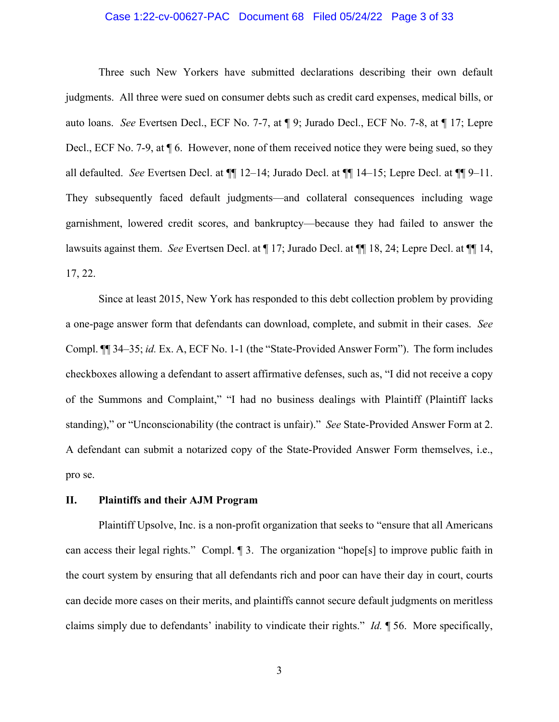# Case 1:22-cv-00627-PAC Document 68 Filed 05/24/22 Page 3 of 33

 Three such New Yorkers have submitted declarations describing their own default judgments. All three were sued on consumer debts such as credit card expenses, medical bills, or auto loans. *See* Evertsen Decl., ECF No. 7-7, at ¶ 9; Jurado Decl., ECF No. 7-8, at ¶ 17; Lepre Decl., ECF No. 7-9, at ¶ 6. However, none of them received notice they were being sued, so they all defaulted. *See* Evertsen Decl. at ¶¶ 12–14; Jurado Decl. at ¶¶ 14–15; Lepre Decl. at ¶¶ 9–11. They subsequently faced default judgments—and collateral consequences including wage garnishment, lowered credit scores, and bankruptcy—because they had failed to answer the lawsuits against them. *See* Evertsen Decl. at ¶ 17; Jurado Decl. at ¶¶ 18, 24; Lepre Decl. at ¶¶ 14, 17, 22.

Since at least 2015, New York has responded to this debt collection problem by providing a one-page answer form that defendants can download, complete, and submit in their cases. *See* Compl. ¶¶ 34–35; *id.* Ex. A, ECF No. 1-1 (the "State-Provided Answer Form"). The form includes checkboxes allowing a defendant to assert affirmative defenses, such as, "I did not receive a copy of the Summons and Complaint," "I had no business dealings with Plaintiff (Plaintiff lacks standing)," or "Unconscionability (the contract is unfair)." *See* State-Provided Answer Form at 2. A defendant can submit a notarized copy of the State-Provided Answer Form themselves, i.e., pro se.

# **II. Plaintiffs and their AJM Program**

Plaintiff Upsolve, Inc. is a non-profit organization that seeks to "ensure that all Americans can access their legal rights." Compl. ¶ 3. The organization "hope[s] to improve public faith in the court system by ensuring that all defendants rich and poor can have their day in court, courts can decide more cases on their merits, and plaintiffs cannot secure default judgments on meritless claims simply due to defendants' inability to vindicate their rights." *Id.* ¶ 56. More specifically,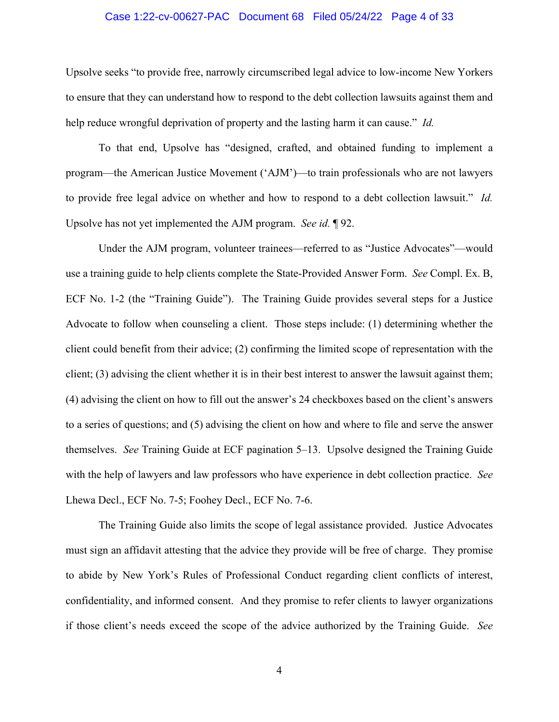## Case 1:22-cv-00627-PAC Document 68 Filed 05/24/22 Page 4 of 33

Upsolve seeks "to provide free, narrowly circumscribed legal advice to low-income New Yorkers to ensure that they can understand how to respond to the debt collection lawsuits against them and help reduce wrongful deprivation of property and the lasting harm it can cause." *Id.*

To that end, Upsolve has "designed, crafted, and obtained funding to implement a program—the American Justice Movement ('AJM')—to train professionals who are not lawyers to provide free legal advice on whether and how to respond to a debt collection lawsuit." *Id.* Upsolve has not yet implemented the AJM program. *See id.* ¶ 92.

Under the AJM program, volunteer trainees—referred to as "Justice Advocates"—would use a training guide to help clients complete the State-Provided Answer Form. *See* Compl. Ex. B, ECF No. 1-2 (the "Training Guide"). The Training Guide provides several steps for a Justice Advocate to follow when counseling a client. Those steps include: (1) determining whether the client could benefit from their advice; (2) confirming the limited scope of representation with the client; (3) advising the client whether it is in their best interest to answer the lawsuit against them; (4) advising the client on how to fill out the answer's 24 checkboxes based on the client's answers to a series of questions; and (5) advising the client on how and where to file and serve the answer themselves. *See* Training Guide at ECF pagination 5–13. Upsolve designed the Training Guide with the help of lawyers and law professors who have experience in debt collection practice. *See*  Lhewa Decl., ECF No. 7-5; Foohey Decl., ECF No. 7-6.

The Training Guide also limits the scope of legal assistance provided. Justice Advocates must sign an affidavit attesting that the advice they provide will be free of charge. They promise to abide by New York's Rules of Professional Conduct regarding client conflicts of interest, confidentiality, and informed consent. And they promise to refer clients to lawyer organizations if those client's needs exceed the scope of the advice authorized by the Training Guide. *See*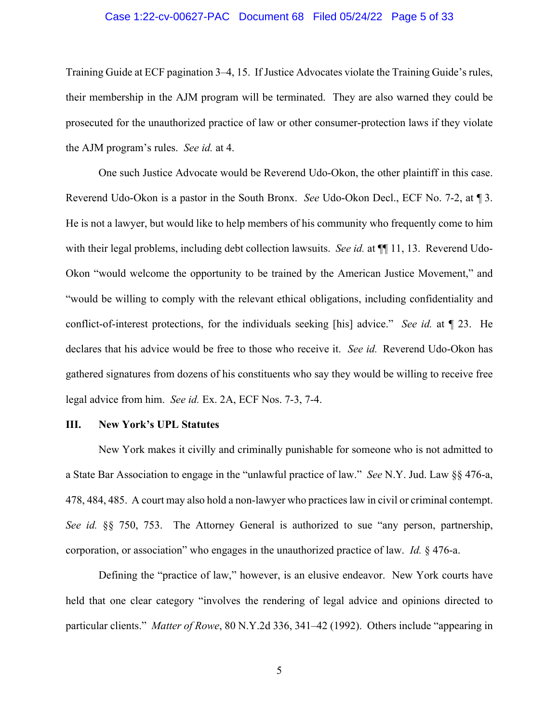#### Case 1:22-cv-00627-PAC Document 68 Filed 05/24/22 Page 5 of 33

Training Guide at ECF pagination 3–4, 15. If Justice Advocates violate the Training Guide's rules, their membership in the AJM program will be terminated. They are also warned they could be prosecuted for the unauthorized practice of law or other consumer-protection laws if they violate the AJM program's rules. *See id.* at 4.

One such Justice Advocate would be Reverend Udo-Okon, the other plaintiff in this case. Reverend Udo-Okon is a pastor in the South Bronx. *See* Udo-Okon Decl., ECF No. 7-2, at ¶ 3. He is not a lawyer, but would like to help members of his community who frequently come to him with their legal problems, including debt collection lawsuits. *See id.* at  $\P$  11, 13. Reverend Udo-Okon "would welcome the opportunity to be trained by the American Justice Movement," and "would be willing to comply with the relevant ethical obligations, including confidentiality and conflict-of-interest protections, for the individuals seeking [his] advice." *See id.* at ¶ 23. He declares that his advice would be free to those who receive it. *See id.* Reverend Udo-Okon has gathered signatures from dozens of his constituents who say they would be willing to receive free legal advice from him. *See id.* Ex. 2A, ECF Nos. 7-3, 7-4.

#### **III. New York's UPL Statutes**

New York makes it civilly and criminally punishable for someone who is not admitted to a State Bar Association to engage in the "unlawful practice of law." *See* N.Y. Jud. Law §§ 476-a, 478, 484, 485. A court may also hold a non-lawyer who practices law in civil or criminal contempt. *See id.* §§ 750, 753. The Attorney General is authorized to sue "any person, partnership, corporation, or association" who engages in the unauthorized practice of law. *Id.* § 476-a.

Defining the "practice of law," however, is an elusive endeavor. New York courts have held that one clear category "involves the rendering of legal advice and opinions directed to particular clients." *Matter of Rowe*, 80 N.Y.2d 336, 341–42 (1992). Others include "appearing in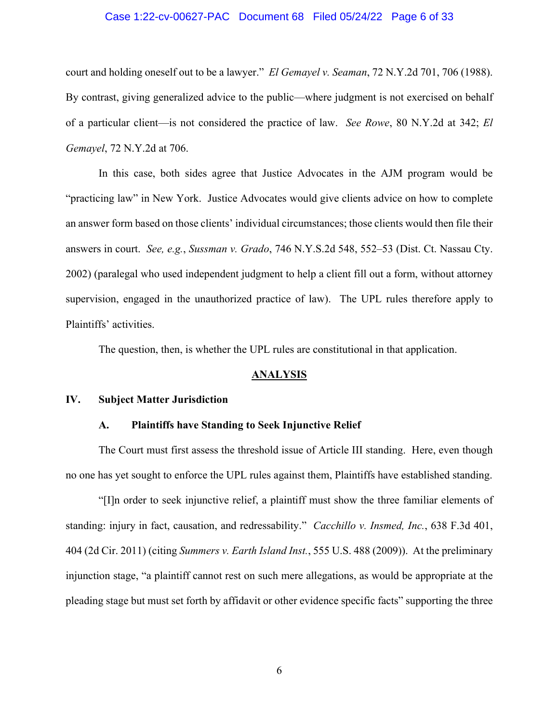# Case 1:22-cv-00627-PAC Document 68 Filed 05/24/22 Page 6 of 33

court and holding oneself out to be a lawyer." *El Gemayel v. Seaman*, 72 N.Y.2d 701, 706 (1988). By contrast, giving generalized advice to the public—where judgment is not exercised on behalf of a particular client—is not considered the practice of law. *See Rowe*, 80 N.Y.2d at 342; *El Gemayel*, 72 N.Y.2d at 706.

In this case, both sides agree that Justice Advocates in the AJM program would be "practicing law" in New York. Justice Advocates would give clients advice on how to complete an answer form based on those clients' individual circumstances; those clients would then file their answers in court. *See, e.g.*, *Sussman v. Grado*, 746 N.Y.S.2d 548, 552–53 (Dist. Ct. Nassau Cty. 2002) (paralegal who used independent judgment to help a client fill out a form, without attorney supervision, engaged in the unauthorized practice of law). The UPL rules therefore apply to Plaintiffs' activities.

The question, then, is whether the UPL rules are constitutional in that application.

#### **ANALYSIS**

#### **IV. Subject Matter Jurisdiction**

#### **A. Plaintiffs have Standing to Seek Injunctive Relief**

The Court must first assess the threshold issue of Article III standing. Here, even though no one has yet sought to enforce the UPL rules against them, Plaintiffs have established standing.

"[I]n order to seek injunctive relief, a plaintiff must show the three familiar elements of standing: injury in fact, causation, and redressability." *Cacchillo v. Insmed, Inc.*, 638 F.3d 401, 404 (2d Cir. 2011) (citing *Summers v. Earth Island Inst.*, 555 U.S. 488 (2009)). At the preliminary injunction stage, "a plaintiff cannot rest on such mere allegations, as would be appropriate at the pleading stage but must set forth by affidavit or other evidence specific facts" supporting the three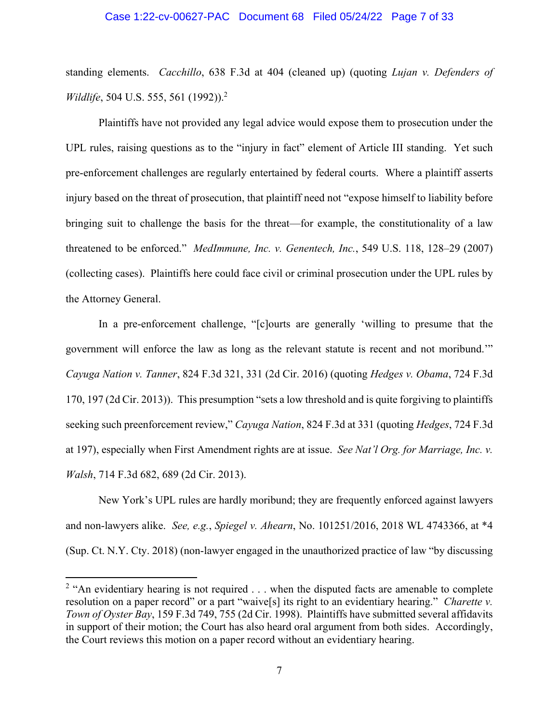#### Case 1:22-cv-00627-PAC Document 68 Filed 05/24/22 Page 7 of 33

standing elements. *Cacchillo*, 638 F.3d at 404 (cleaned up) (quoting *Lujan v. Defenders of Wildlife*, 504 U.S. 555, 561 (1992)).<sup>2</sup>

Plaintiffs have not provided any legal advice would expose them to prosecution under the UPL rules, raising questions as to the "injury in fact" element of Article III standing. Yet such pre-enforcement challenges are regularly entertained by federal courts. Where a plaintiff asserts injury based on the threat of prosecution, that plaintiff need not "expose himself to liability before bringing suit to challenge the basis for the threat—for example, the constitutionality of a law threatened to be enforced." *MedImmune, Inc. v. Genentech, Inc.*, 549 U.S. 118, 128–29 (2007) (collecting cases). Plaintiffs here could face civil or criminal prosecution under the UPL rules by the Attorney General.

In a pre-enforcement challenge, "[c]ourts are generally 'willing to presume that the government will enforce the law as long as the relevant statute is recent and not moribund.'" *Cayuga Nation v. Tanner*, 824 F.3d 321, 331 (2d Cir. 2016) (quoting *Hedges v. Obama*, 724 F.3d 170, 197 (2d Cir. 2013)). This presumption "sets a low threshold and is quite forgiving to plaintiffs seeking such preenforcement review," *Cayuga Nation*, 824 F.3d at 331 (quoting *Hedges*, 724 F.3d at 197), especially when First Amendment rights are at issue. *See Nat'l Org. for Marriage, Inc. v. Walsh*, 714 F.3d 682, 689 (2d Cir. 2013).

New York's UPL rules are hardly moribund; they are frequently enforced against lawyers and non-lawyers alike. *See, e.g.*, *Spiegel v. Ahearn*, No. 101251/2016, 2018 WL 4743366, at \*4 (Sup. Ct. N.Y. Cty. 2018) (non-lawyer engaged in the unauthorized practice of law "by discussing

<sup>&</sup>lt;sup>2</sup> "An evidentiary hearing is not required  $\dots$  when the disputed facts are amenable to complete resolution on a paper record" or a part "waive[s] its right to an evidentiary hearing." *Charette v. Town of Oyster Bay*, 159 F.3d 749, 755 (2d Cir. 1998). Plaintiffs have submitted several affidavits in support of their motion; the Court has also heard oral argument from both sides. Accordingly, the Court reviews this motion on a paper record without an evidentiary hearing.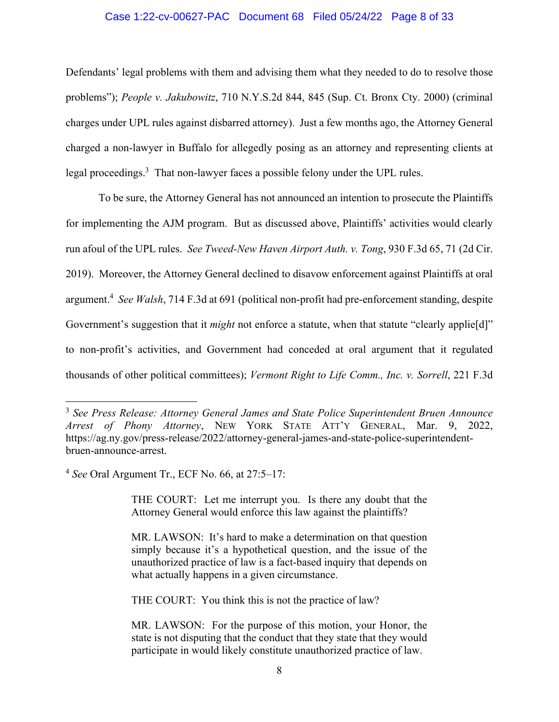# Case 1:22-cv-00627-PAC Document 68 Filed 05/24/22 Page 8 of 33

Defendants' legal problems with them and advising them what they needed to do to resolve those problems"); *People v. Jakubowitz*, 710 N.Y.S.2d 844, 845 (Sup. Ct. Bronx Cty. 2000) (criminal charges under UPL rules against disbarred attorney). Just a few months ago, the Attorney General charged a non-lawyer in Buffalo for allegedly posing as an attorney and representing clients at legal proceedings.<sup>3</sup> That non-lawyer faces a possible felony under the UPL rules.

To be sure, the Attorney General has not announced an intention to prosecute the Plaintiffs for implementing the AJM program. But as discussed above, Plaintiffs' activities would clearly run afoul of the UPL rules. *See Tweed-New Haven Airport Auth. v. Tong*, 930 F.3d 65, 71 (2d Cir. 2019). Moreover, the Attorney General declined to disavow enforcement against Plaintiffs at oral argument.4 *See Walsh*, 714 F.3d at 691 (political non-profit had pre-enforcement standing, despite Government's suggestion that it *might* not enforce a statute, when that statute "clearly applie<sup>[d]"</sup> to non-profit's activities, and Government had conceded at oral argument that it regulated thousands of other political committees); *Vermont Right to Life Comm., Inc. v. Sorrell*, 221 F.3d

THE COURT: Let me interrupt you. Is there any doubt that the Attorney General would enforce this law against the plaintiffs?

THE COURT: You think this is not the practice of law?

<sup>3</sup> *See Press Release: Attorney General James and State Police Superintendent Bruen Announce Arrest of Phony Attorney*, NEW YORK STATE ATT'Y GENERAL, Mar. 9, 2022, https://ag.ny.gov/press-release/2022/attorney-general-james-and-state-police-superintendentbruen-announce-arrest.

<sup>4</sup> *See* Oral Argument Tr., ECF No. 66, at 27:5–17:

MR. LAWSON: It's hard to make a determination on that question simply because it's a hypothetical question, and the issue of the unauthorized practice of law is a fact-based inquiry that depends on what actually happens in a given circumstance.

MR. LAWSON: For the purpose of this motion, your Honor, the state is not disputing that the conduct that they state that they would participate in would likely constitute unauthorized practice of law.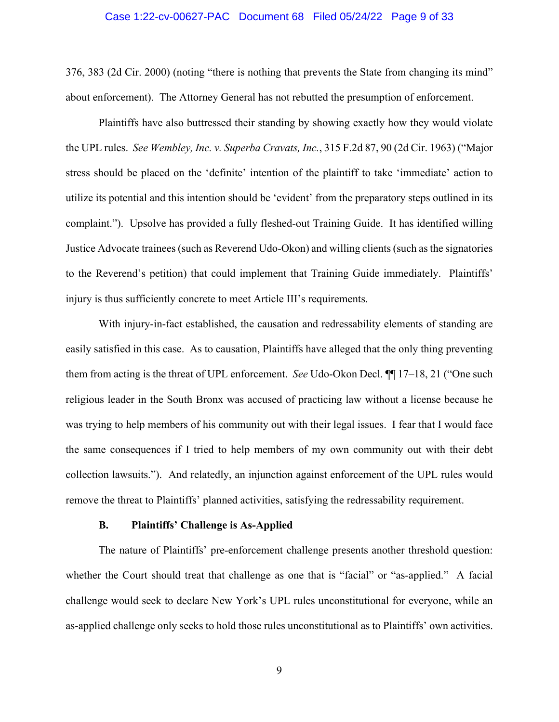#### Case 1:22-cv-00627-PAC Document 68 Filed 05/24/22 Page 9 of 33

376, 383 (2d Cir. 2000) (noting "there is nothing that prevents the State from changing its mind" about enforcement). The Attorney General has not rebutted the presumption of enforcement.

Plaintiffs have also buttressed their standing by showing exactly how they would violate the UPL rules. *See Wembley, Inc. v. Superba Cravats, Inc.*, 315 F.2d 87, 90 (2d Cir. 1963) ("Major stress should be placed on the 'definite' intention of the plaintiff to take 'immediate' action to utilize its potential and this intention should be 'evident' from the preparatory steps outlined in its complaint."). Upsolve has provided a fully fleshed-out Training Guide. It has identified willing Justice Advocate trainees (such as Reverend Udo-Okon) and willing clients (such as the signatories to the Reverend's petition) that could implement that Training Guide immediately. Plaintiffs' injury is thus sufficiently concrete to meet Article III's requirements.

With injury-in-fact established, the causation and redressability elements of standing are easily satisfied in this case. As to causation, Plaintiffs have alleged that the only thing preventing them from acting is the threat of UPL enforcement. *See* Udo-Okon Decl. ¶¶ 17–18, 21 ("One such religious leader in the South Bronx was accused of practicing law without a license because he was trying to help members of his community out with their legal issues. I fear that I would face the same consequences if I tried to help members of my own community out with their debt collection lawsuits."). And relatedly, an injunction against enforcement of the UPL rules would remove the threat to Plaintiffs' planned activities, satisfying the redressability requirement.

#### **B. Plaintiffs' Challenge is As-Applied**

The nature of Plaintiffs' pre-enforcement challenge presents another threshold question: whether the Court should treat that challenge as one that is "facial" or "as-applied." A facial challenge would seek to declare New York's UPL rules unconstitutional for everyone, while an as-applied challenge only seeks to hold those rules unconstitutional as to Plaintiffs' own activities.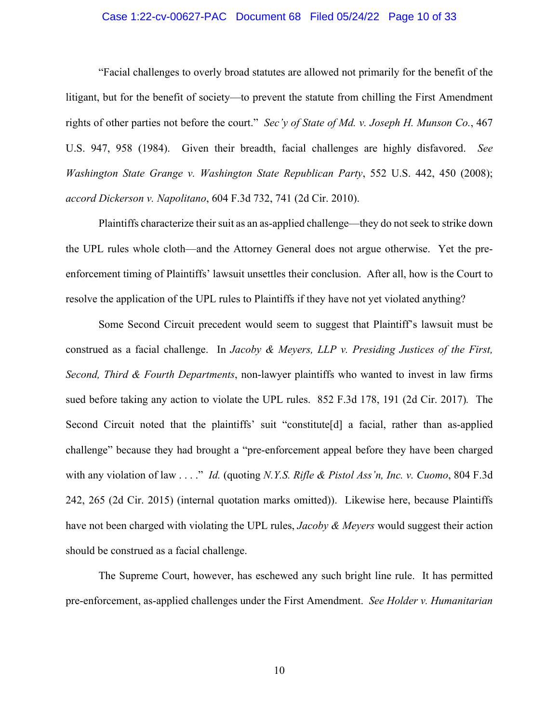# Case 1:22-cv-00627-PAC Document 68 Filed 05/24/22 Page 10 of 33

"Facial challenges to overly broad statutes are allowed not primarily for the benefit of the litigant, but for the benefit of society—to prevent the statute from chilling the First Amendment rights of other parties not before the court." *Sec'y of State of Md. v. Joseph H. Munson Co.*, 467 U.S. 947, 958 (1984). Given their breadth, facial challenges are highly disfavored. *See Washington State Grange v. Washington State Republican Party*, 552 U.S. 442, 450 (2008); *accord Dickerson v. Napolitano*, 604 F.3d 732, 741 (2d Cir. 2010).

Plaintiffs characterize their suit as an as-applied challenge—they do not seek to strike down the UPL rules whole cloth—and the Attorney General does not argue otherwise. Yet the preenforcement timing of Plaintiffs' lawsuit unsettles their conclusion. After all, how is the Court to resolve the application of the UPL rules to Plaintiffs if they have not yet violated anything?

Some Second Circuit precedent would seem to suggest that Plaintiff's lawsuit must be construed as a facial challenge. In *Jacoby & Meyers, LLP v. Presiding Justices of the First, Second, Third & Fourth Departments*, non-lawyer plaintiffs who wanted to invest in law firms sued before taking any action to violate the UPL rules. 852 F.3d 178, 191 (2d Cir. 2017)*.* The Second Circuit noted that the plaintiffs' suit "constitute[d] a facial, rather than as-applied challenge" because they had brought a "pre-enforcement appeal before they have been charged with any violation of law . . . ." *Id.* (quoting *N.Y.S. Rifle & Pistol Ass'n, Inc. v. Cuomo*, 804 F.3d 242, 265 (2d Cir. 2015) (internal quotation marks omitted)). Likewise here, because Plaintiffs have not been charged with violating the UPL rules, *Jacoby & Meyers* would suggest their action should be construed as a facial challenge.

The Supreme Court, however, has eschewed any such bright line rule. It has permitted pre-enforcement, as-applied challenges under the First Amendment. *See Holder v. Humanitarian*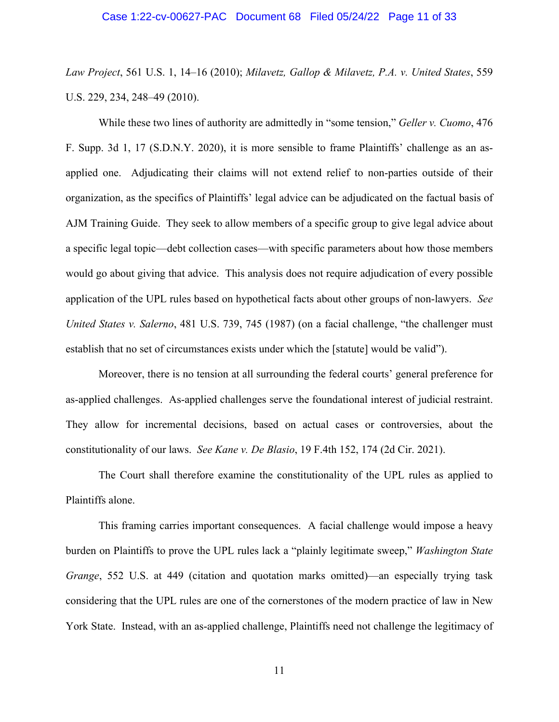*Law Project*, 561 U.S. 1, 14–16 (2010); *Milavetz, Gallop & Milavetz, P.A. v. United States*, 559 U.S. 229, 234, 248–49 (2010).

While these two lines of authority are admittedly in "some tension," *Geller v. Cuomo*, 476 F. Supp. 3d 1, 17 (S.D.N.Y. 2020), it is more sensible to frame Plaintiffs' challenge as an asapplied one. Adjudicating their claims will not extend relief to non-parties outside of their organization, as the specifics of Plaintiffs' legal advice can be adjudicated on the factual basis of AJM Training Guide. They seek to allow members of a specific group to give legal advice about a specific legal topic—debt collection cases—with specific parameters about how those members would go about giving that advice. This analysis does not require adjudication of every possible application of the UPL rules based on hypothetical facts about other groups of non-lawyers. *See United States v. Salerno*, 481 U.S. 739, 745 (1987) (on a facial challenge, "the challenger must establish that no set of circumstances exists under which the [statute] would be valid").

Moreover, there is no tension at all surrounding the federal courts' general preference for as-applied challenges. As-applied challenges serve the foundational interest of judicial restraint. They allow for incremental decisions, based on actual cases or controversies, about the constitutionality of our laws. *See Kane v. De Blasio*, 19 F.4th 152, 174 (2d Cir. 2021).

The Court shall therefore examine the constitutionality of the UPL rules as applied to Plaintiffs alone.

This framing carries important consequences. A facial challenge would impose a heavy burden on Plaintiffs to prove the UPL rules lack a "plainly legitimate sweep," *Washington State Grange*, 552 U.S. at 449 (citation and quotation marks omitted)—an especially trying task considering that the UPL rules are one of the cornerstones of the modern practice of law in New York State. Instead, with an as-applied challenge, Plaintiffs need not challenge the legitimacy of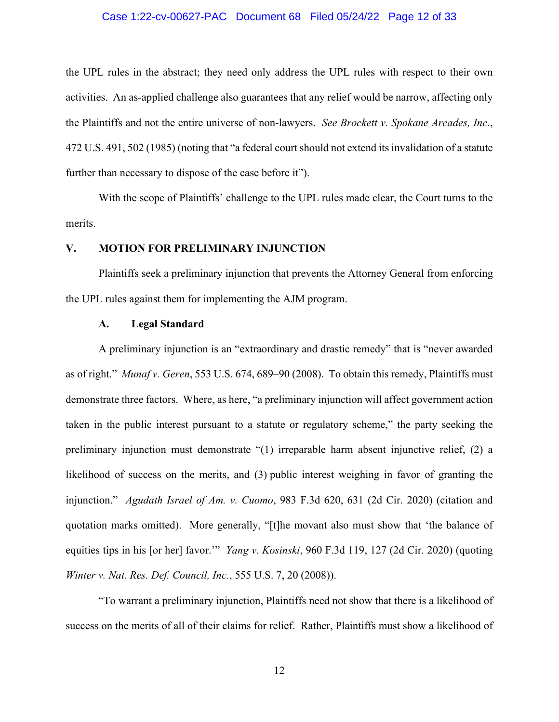#### Case 1:22-cv-00627-PAC Document 68 Filed 05/24/22 Page 12 of 33

the UPL rules in the abstract; they need only address the UPL rules with respect to their own activities. An as-applied challenge also guarantees that any relief would be narrow, affecting only the Plaintiffs and not the entire universe of non-lawyers. *See Brockett v. Spokane Arcades, Inc.*, 472 U.S. 491, 502 (1985) (noting that "a federal court should not extend its invalidation of a statute further than necessary to dispose of the case before it").

With the scope of Plaintiffs' challenge to the UPL rules made clear, the Court turns to the merits.

#### **V. MOTION FOR PRELIMINARY INJUNCTION**

Plaintiffs seek a preliminary injunction that prevents the Attorney General from enforcing the UPL rules against them for implementing the AJM program.

#### **A. Legal Standard**

A preliminary injunction is an "extraordinary and drastic remedy" that is "never awarded as of right." *Munaf v. Geren*, 553 U.S. 674, 689–90 (2008). To obtain this remedy, Plaintiffs must demonstrate three factors. Where, as here, "a preliminary injunction will affect government action taken in the public interest pursuant to a statute or regulatory scheme," the party seeking the preliminary injunction must demonstrate "(1) irreparable harm absent injunctive relief, (2) a likelihood of success on the merits, and (3) public interest weighing in favor of granting the injunction." *Agudath Israel of Am. v. Cuomo*, 983 F.3d 620, 631 (2d Cir. 2020) (citation and quotation marks omitted). More generally, "[t]he movant also must show that 'the balance of equities tips in his [or her] favor.'" *Yang v. Kosinski*, 960 F.3d 119, 127 (2d Cir. 2020) (quoting *Winter v. Nat. Res. Def. Council, Inc.*, 555 U.S. 7, 20 (2008)).

"To warrant a preliminary injunction, Plaintiffs need not show that there is a likelihood of success on the merits of all of their claims for relief. Rather, Plaintiffs must show a likelihood of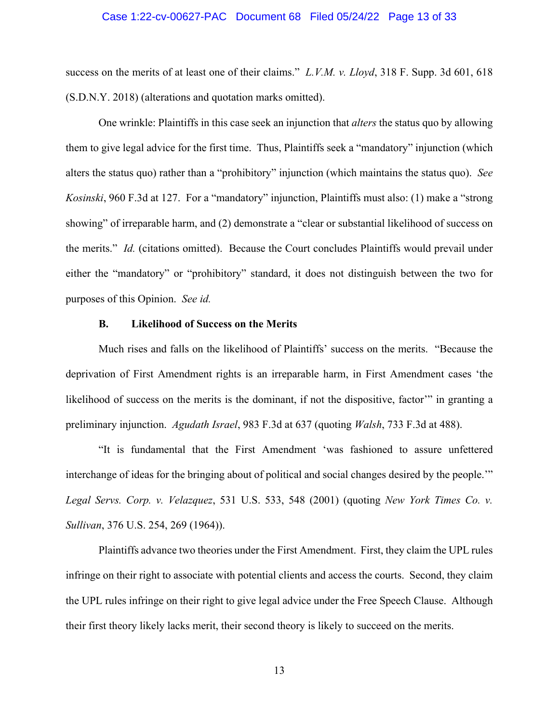#### Case 1:22-cv-00627-PAC Document 68 Filed 05/24/22 Page 13 of 33

success on the merits of at least one of their claims." *L.V.M. v. Lloyd*, 318 F. Supp. 3d 601, 618 (S.D.N.Y. 2018) (alterations and quotation marks omitted).

One wrinkle: Plaintiffs in this case seek an injunction that *alters* the status quo by allowing them to give legal advice for the first time. Thus, Plaintiffs seek a "mandatory" injunction (which alters the status quo) rather than a "prohibitory" injunction (which maintains the status quo). *See Kosinski*, 960 F.3d at 127. For a "mandatory" injunction, Plaintiffs must also: (1) make a "strong showing" of irreparable harm, and (2) demonstrate a "clear or substantial likelihood of success on the merits." *Id.* (citations omitted). Because the Court concludes Plaintiffs would prevail under either the "mandatory" or "prohibitory" standard, it does not distinguish between the two for purposes of this Opinion. *See id.*

# **B. Likelihood of Success on the Merits**

Much rises and falls on the likelihood of Plaintiffs' success on the merits. "Because the deprivation of First Amendment rights is an irreparable harm, in First Amendment cases 'the likelihood of success on the merits is the dominant, if not the dispositive, factor" in granting a preliminary injunction. *Agudath Israel*, 983 F.3d at 637 (quoting *Walsh*, 733 F.3d at 488).

"It is fundamental that the First Amendment 'was fashioned to assure unfettered interchange of ideas for the bringing about of political and social changes desired by the people.'" *Legal Servs. Corp. v. Velazquez*, 531 U.S. 533, 548 (2001) (quoting *New York Times Co. v. Sullivan*, 376 U.S. 254, 269 (1964)).

Plaintiffs advance two theories under the First Amendment. First, they claim the UPL rules infringe on their right to associate with potential clients and access the courts. Second, they claim the UPL rules infringe on their right to give legal advice under the Free Speech Clause. Although their first theory likely lacks merit, their second theory is likely to succeed on the merits.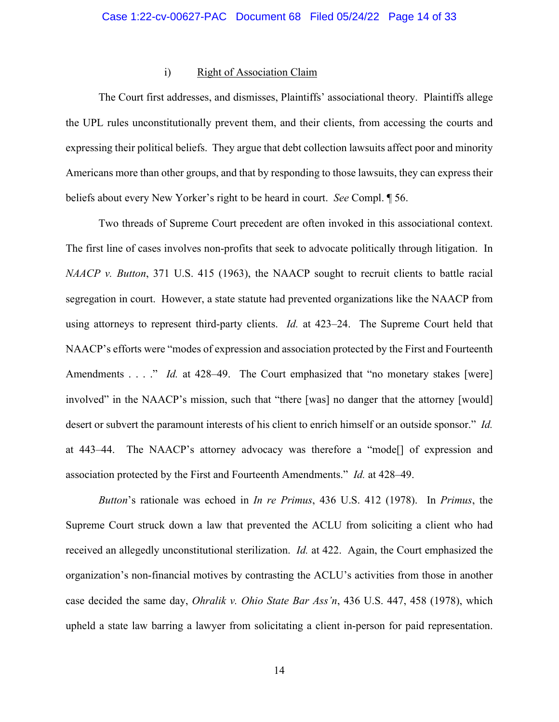# i) Right of Association Claim

The Court first addresses, and dismisses, Plaintiffs' associational theory. Plaintiffs allege the UPL rules unconstitutionally prevent them, and their clients, from accessing the courts and expressing their political beliefs. They argue that debt collection lawsuits affect poor and minority Americans more than other groups, and that by responding to those lawsuits, they can express their beliefs about every New Yorker's right to be heard in court. *See* Compl. ¶ 56.

Two threads of Supreme Court precedent are often invoked in this associational context. The first line of cases involves non-profits that seek to advocate politically through litigation. In *NAACP v. Button*, 371 U.S. 415 (1963), the NAACP sought to recruit clients to battle racial segregation in court. However, a state statute had prevented organizations like the NAACP from using attorneys to represent third-party clients. *Id.* at 423–24. The Supreme Court held that NAACP's efforts were "modes of expression and association protected by the First and Fourteenth Amendments . . . ." *Id.* at 428–49. The Court emphasized that "no monetary stakes [were] involved" in the NAACP's mission, such that "there [was] no danger that the attorney [would] desert or subvert the paramount interests of his client to enrich himself or an outside sponsor." *Id.* at 443–44. The NAACP's attorney advocacy was therefore a "mode[] of expression and association protected by the First and Fourteenth Amendments." *Id.* at 428–49.

*Button*'s rationale was echoed in *In re Primus*, 436 U.S. 412 (1978). In *Primus*, the Supreme Court struck down a law that prevented the ACLU from soliciting a client who had received an allegedly unconstitutional sterilization. *Id.* at 422. Again, the Court emphasized the organization's non-financial motives by contrasting the ACLU's activities from those in another case decided the same day, *Ohralik v. Ohio State Bar Ass'n*, 436 U.S. 447, 458 (1978), which upheld a state law barring a lawyer from solicitating a client in-person for paid representation.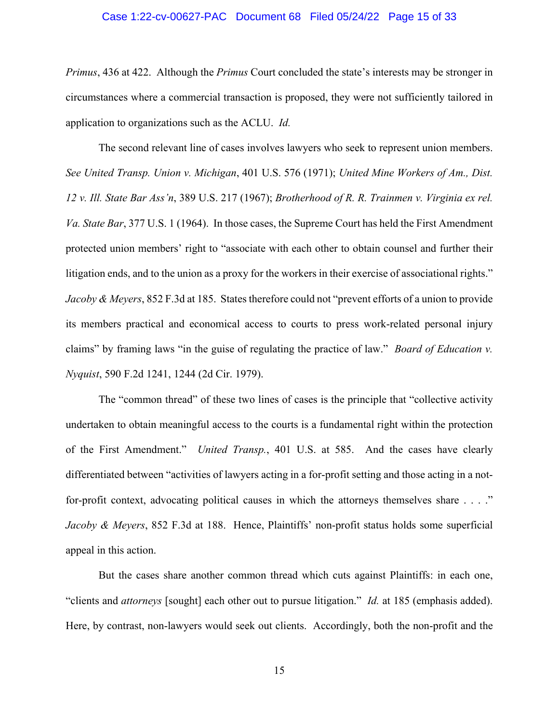#### Case 1:22-cv-00627-PAC Document 68 Filed 05/24/22 Page 15 of 33

*Primus*, 436 at 422. Although the *Primus* Court concluded the state's interests may be stronger in circumstances where a commercial transaction is proposed, they were not sufficiently tailored in application to organizations such as the ACLU. *Id.*

The second relevant line of cases involves lawyers who seek to represent union members. *See United Transp. Union v. Michigan*, 401 U.S. 576 (1971); *United Mine Workers of Am., Dist. 12 v. Ill. State Bar Ass'n*, 389 U.S. 217 (1967); *Brotherhood of R. R. Trainmen v. Virginia ex rel. Va. State Bar*, 377 U.S. 1 (1964). In those cases, the Supreme Court has held the First Amendment protected union members' right to "associate with each other to obtain counsel and further their litigation ends, and to the union as a proxy for the workers in their exercise of associational rights." *Jacoby & Meyers*, 852 F.3d at 185. States therefore could not "prevent efforts of a union to provide its members practical and economical access to courts to press work-related personal injury claims" by framing laws "in the guise of regulating the practice of law." *Board of Education v. Nyquist*, 590 F.2d 1241, 1244 (2d Cir. 1979).

The "common thread" of these two lines of cases is the principle that "collective activity undertaken to obtain meaningful access to the courts is a fundamental right within the protection of the First Amendment." *United Transp.*, 401 U.S. at 585. And the cases have clearly differentiated between "activities of lawyers acting in a for-profit setting and those acting in a notfor-profit context, advocating political causes in which the attorneys themselves share . . . ." *Jacoby & Meyers*, 852 F.3d at 188. Hence, Plaintiffs' non-profit status holds some superficial appeal in this action.

But the cases share another common thread which cuts against Plaintiffs: in each one, "clients and *attorneys* [sought] each other out to pursue litigation." *Id.* at 185 (emphasis added). Here, by contrast, non-lawyers would seek out clients. Accordingly, both the non-profit and the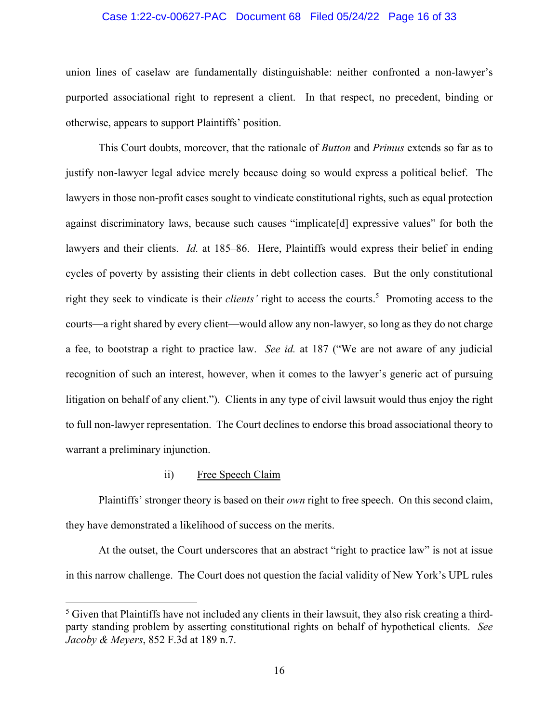# Case 1:22-cv-00627-PAC Document 68 Filed 05/24/22 Page 16 of 33

union lines of caselaw are fundamentally distinguishable: neither confronted a non-lawyer's purported associational right to represent a client. In that respect, no precedent, binding or otherwise, appears to support Plaintiffs' position.

This Court doubts, moreover, that the rationale of *Button* and *Primus* extends so far as to justify non-lawyer legal advice merely because doing so would express a political belief. The lawyers in those non-profit cases sought to vindicate constitutional rights, such as equal protection against discriminatory laws, because such causes "implicate[d] expressive values" for both the lawyers and their clients. *Id.* at 185–86. Here, Plaintiffs would express their belief in ending cycles of poverty by assisting their clients in debt collection cases. But the only constitutional right they seek to vindicate is their *clients'* right to access the courts.<sup>5</sup> Promoting access to the courts—a right shared by every client—would allow any non-lawyer, so long as they do not charge a fee, to bootstrap a right to practice law. *See id.* at 187 ("We are not aware of any judicial recognition of such an interest, however, when it comes to the lawyer's generic act of pursuing litigation on behalf of any client."). Clients in any type of civil lawsuit would thus enjoy the right to full non-lawyer representation. The Court declines to endorse this broad associational theory to warrant a preliminary injunction.

# ii) Free Speech Claim

Plaintiffs' stronger theory is based on their *own* right to free speech. On this second claim, they have demonstrated a likelihood of success on the merits.

At the outset, the Court underscores that an abstract "right to practice law" is not at issue in this narrow challenge. The Court does not question the facial validity of New York's UPL rules

 $<sup>5</sup>$  Given that Plaintiffs have not included any clients in their lawsuit, they also risk creating a third-</sup> party standing problem by asserting constitutional rights on behalf of hypothetical clients. *See Jacoby & Meyers*, 852 F.3d at 189 n.7.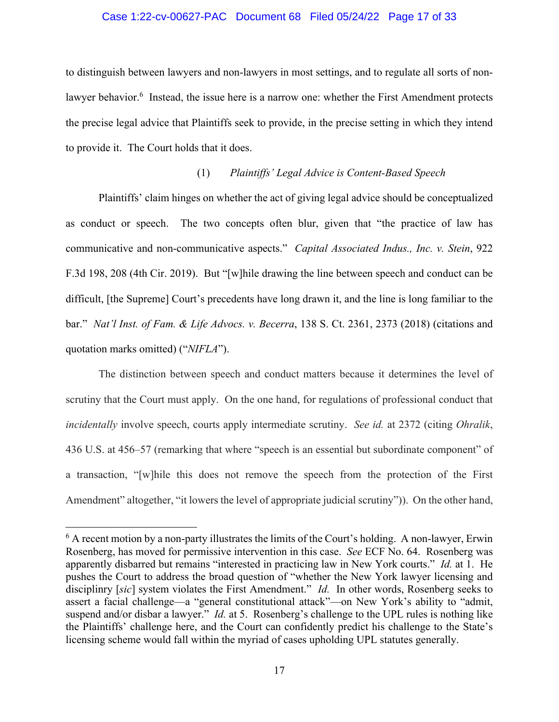# Case 1:22-cv-00627-PAC Document 68 Filed 05/24/22 Page 17 of 33

to distinguish between lawyers and non-lawyers in most settings, and to regulate all sorts of nonlawyer behavior.<sup>6</sup> Instead, the issue here is a narrow one: whether the First Amendment protects the precise legal advice that Plaintiffs seek to provide, in the precise setting in which they intend to provide it. The Court holds that it does.

# (1) *Plaintiffs' Legal Advice is Content-Based Speech*

Plaintiffs' claim hinges on whether the act of giving legal advice should be conceptualized as conduct or speech. The two concepts often blur, given that "the practice of law has communicative and non-communicative aspects." *Capital Associated Indus., Inc. v. Stein*, 922 F.3d 198, 208 (4th Cir. 2019). But "[w]hile drawing the line between speech and conduct can be difficult, [the Supreme] Court's precedents have long drawn it, and the line is long familiar to the bar." *Nat'l Inst. of Fam. & Life Advocs. v. Becerra*, 138 S. Ct. 2361, 2373 (2018) (citations and quotation marks omitted) ("*NIFLA*").

The distinction between speech and conduct matters because it determines the level of scrutiny that the Court must apply. On the one hand, for regulations of professional conduct that *incidentally* involve speech, courts apply intermediate scrutiny. *See id.* at 2372 (citing *Ohralik*, 436 U.S. at 456–57 (remarking that where "speech is an essential but subordinate component" of a transaction, "[w]hile this does not remove the speech from the protection of the First Amendment" altogether, "it lowers the level of appropriate judicial scrutiny")). On the other hand,

 $6$  A recent motion by a non-party illustrates the limits of the Court's holding. A non-lawyer, Erwin Rosenberg, has moved for permissive intervention in this case. *See* ECF No. 64. Rosenberg was apparently disbarred but remains "interested in practicing law in New York courts." *Id.* at 1. He pushes the Court to address the broad question of "whether the New York lawyer licensing and disciplinry [*sic*] system violates the First Amendment." *Id.* In other words, Rosenberg seeks to assert a facial challenge—a "general constitutional attack"—on New York's ability to "admit, suspend and/or disbar a lawyer." *Id.* at 5. Rosenberg's challenge to the UPL rules is nothing like the Plaintiffs' challenge here, and the Court can confidently predict his challenge to the State's licensing scheme would fall within the myriad of cases upholding UPL statutes generally.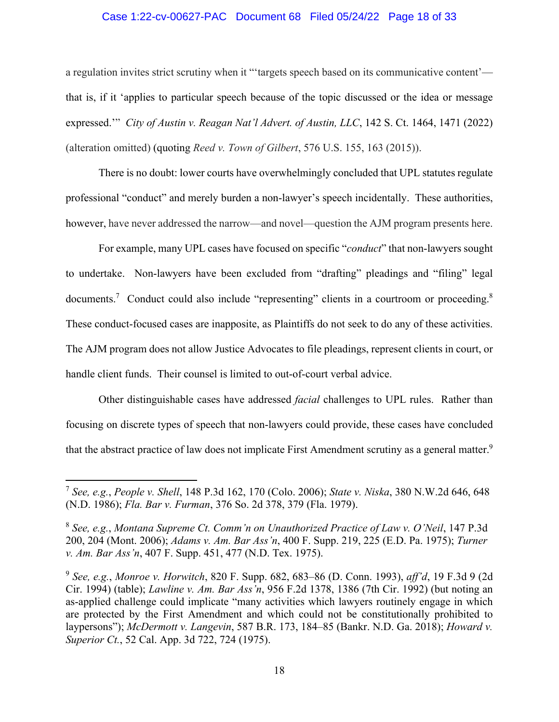# Case 1:22-cv-00627-PAC Document 68 Filed 05/24/22 Page 18 of 33

a regulation invites strict scrutiny when it "'targets speech based on its communicative content' that is, if it 'applies to particular speech because of the topic discussed or the idea or message expressed.'" *City of Austin v. Reagan Nat'l Advert. of Austin, LLC*, 142 S. Ct. 1464, 1471 (2022) (alteration omitted) (quoting *Reed v. Town of Gilbert*, 576 U.S. 155, 163 (2015)).

There is no doubt: lower courts have overwhelmingly concluded that UPL statutes regulate professional "conduct" and merely burden a non-lawyer's speech incidentally. These authorities, however, have never addressed the narrow—and novel—question the AJM program presents here.

For example, many UPL cases have focused on specific "*conduct*" that non-lawyers sought to undertake. Non-lawyers have been excluded from "drafting" pleadings and "filing" legal documents.<sup>7</sup> Conduct could also include "representing" clients in a courtroom or proceeding.<sup>8</sup> These conduct-focused cases are inapposite, as Plaintiffs do not seek to do any of these activities. The AJM program does not allow Justice Advocates to file pleadings, represent clients in court, or handle client funds. Their counsel is limited to out-of-court verbal advice.

Other distinguishable cases have addressed *facial* challenges to UPL rules. Rather than focusing on discrete types of speech that non-lawyers could provide, these cases have concluded that the abstract practice of law does not implicate First Amendment scrutiny as a general matter.<sup>9</sup>

<sup>7</sup> *See, e.g.*, *People v. Shell*, 148 P.3d 162, 170 (Colo. 2006); *State v. Niska*, 380 N.W.2d 646, 648 (N.D. 1986); *Fla. Bar v. Furman*, 376 So. 2d 378, 379 (Fla. 1979).

<sup>8</sup> *See, e.g.*, *Montana Supreme Ct. Comm'n on Unauthorized Practice of Law v. O'Neil*, 147 P.3d 200, 204 (Mont. 2006); *Adams v. Am. Bar Ass'n*, 400 F. Supp. 219, 225 (E.D. Pa. 1975); *Turner v. Am. Bar Ass'n*, 407 F. Supp. 451, 477 (N.D. Tex. 1975).

<sup>9</sup> *See, e.g.*, *Monroe v. Horwitch*, 820 F. Supp. 682, 683–86 (D. Conn. 1993), *aff'd*, 19 F.3d 9 (2d Cir. 1994) (table); *Lawline v. Am. Bar Ass'n*, 956 F.2d 1378, 1386 (7th Cir. 1992) (but noting an as-applied challenge could implicate "many activities which lawyers routinely engage in which are protected by the First Amendment and which could not be constitutionally prohibited to laypersons"); *McDermott v. Langevin*, 587 B.R. 173, 184–85 (Bankr. N.D. Ga. 2018); *Howard v. Superior Ct.*, 52 Cal. App. 3d 722, 724 (1975).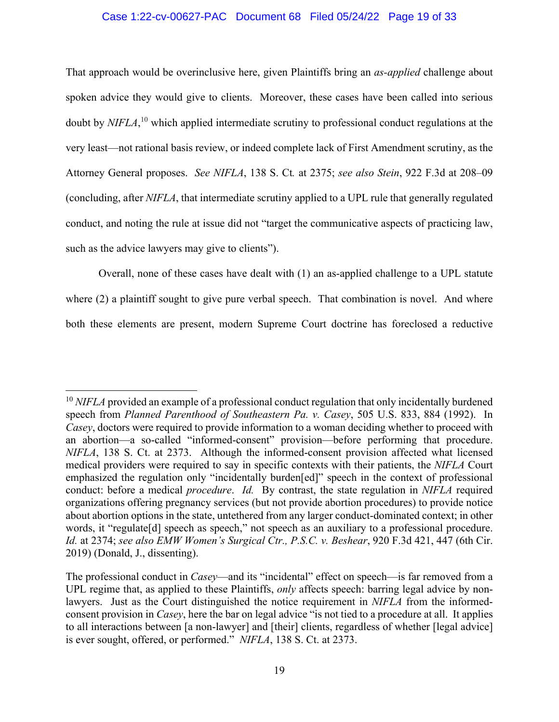# Case 1:22-cv-00627-PAC Document 68 Filed 05/24/22 Page 19 of 33

That approach would be overinclusive here, given Plaintiffs bring an *as-applied* challenge about spoken advice they would give to clients. Moreover, these cases have been called into serious doubt by *NIFLA*, 10 which applied intermediate scrutiny to professional conduct regulations at the very least—not rational basis review, or indeed complete lack of First Amendment scrutiny, as the Attorney General proposes. *See NIFLA*, 138 S. Ct*.* at 2375; *see also Stein*, 922 F.3d at 208–09 (concluding, after *NIFLA*, that intermediate scrutiny applied to a UPL rule that generally regulated conduct, and noting the rule at issue did not "target the communicative aspects of practicing law, such as the advice lawyers may give to clients").

Overall, none of these cases have dealt with (1) an as-applied challenge to a UPL statute where (2) a plaintiff sought to give pure verbal speech. That combination is novel. And where both these elements are present, modern Supreme Court doctrine has foreclosed a reductive

<sup>&</sup>lt;sup>10</sup> *NIFLA* provided an example of a professional conduct regulation that only incidentally burdened speech from *Planned Parenthood of Southeastern Pa. v. Casey*, 505 U.S. 833, 884 (1992). In *Casey*, doctors were required to provide information to a woman deciding whether to proceed with an abortion—a so-called "informed-consent" provision—before performing that procedure. *NIFLA*, 138 S. Ct. at 2373. Although the informed-consent provision affected what licensed medical providers were required to say in specific contexts with their patients, the *NIFLA* Court emphasized the regulation only "incidentally burden[ed]" speech in the context of professional conduct: before a medical *procedure*. *Id.* By contrast, the state regulation in *NIFLA* required organizations offering pregnancy services (but not provide abortion procedures) to provide notice about abortion options in the state, untethered from any larger conduct-dominated context; in other words, it "regulate[d] speech as speech," not speech as an auxiliary to a professional procedure. *Id.* at 2374; *see also EMW Women's Surgical Ctr., P.S.C. v. Beshear*, 920 F.3d 421, 447 (6th Cir. 2019) (Donald, J., dissenting).

The professional conduct in *Casey*—and its "incidental" effect on speech—is far removed from a UPL regime that, as applied to these Plaintiffs, *only* affects speech: barring legal advice by nonlawyers. Just as the Court distinguished the notice requirement in *NIFLA* from the informedconsent provision in *Casey*, here the bar on legal advice "is not tied to a procedure at all. It applies to all interactions between [a non-lawyer] and [their] clients, regardless of whether [legal advice] is ever sought, offered, or performed." *NIFLA*, 138 S. Ct. at 2373.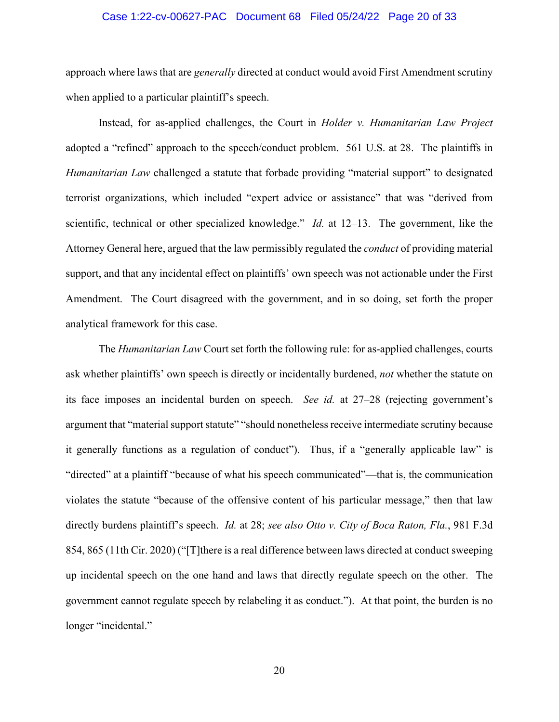# Case 1:22-cv-00627-PAC Document 68 Filed 05/24/22 Page 20 of 33

approach where laws that are *generally* directed at conduct would avoid First Amendment scrutiny when applied to a particular plaintiff's speech.

Instead, for as-applied challenges, the Court in *Holder v. Humanitarian Law Project*  adopted a "refined" approach to the speech/conduct problem. 561 U.S. at 28. The plaintiffs in *Humanitarian Law* challenged a statute that forbade providing "material support" to designated terrorist organizations, which included "expert advice or assistance" that was "derived from scientific, technical or other specialized knowledge." *Id.* at 12–13. The government, like the Attorney General here, argued that the law permissibly regulated the *conduct* of providing material support, and that any incidental effect on plaintiffs' own speech was not actionable under the First Amendment. The Court disagreed with the government, and in so doing, set forth the proper analytical framework for this case.

The *Humanitarian Law* Court set forth the following rule: for as-applied challenges, courts ask whether plaintiffs' own speech is directly or incidentally burdened, *not* whether the statute on its face imposes an incidental burden on speech. *See id.* at 27–28 (rejecting government's argument that "material support statute" "should nonetheless receive intermediate scrutiny because it generally functions as a regulation of conduct"). Thus, if a "generally applicable law" is "directed" at a plaintiff "because of what his speech communicated"—that is, the communication violates the statute "because of the offensive content of his particular message," then that law directly burdens plaintiff's speech. *Id.* at 28; *see also Otto v. City of Boca Raton, Fla.*, 981 F.3d 854, 865 (11th Cir. 2020) ("[T]there is a real difference between laws directed at conduct sweeping up incidental speech on the one hand and laws that directly regulate speech on the other. The government cannot regulate speech by relabeling it as conduct."). At that point, the burden is no longer "incidental."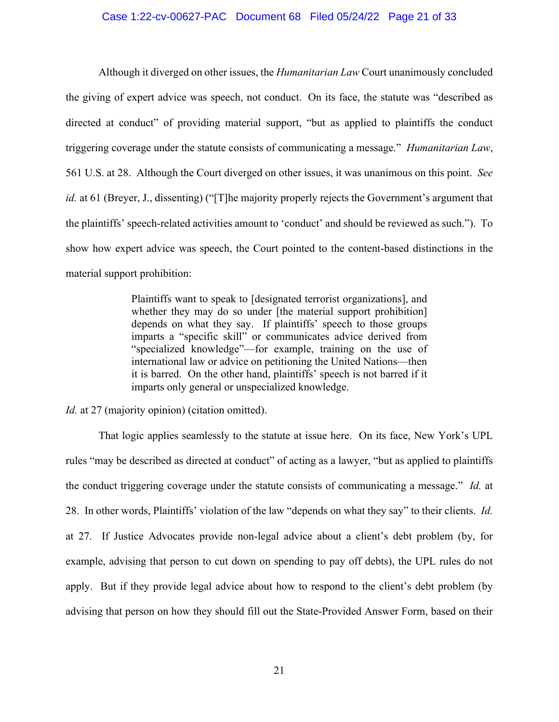# Case 1:22-cv-00627-PAC Document 68 Filed 05/24/22 Page 21 of 33

Although it diverged on other issues, the *Humanitarian Law* Court unanimously concluded the giving of expert advice was speech, not conduct. On its face, the statute was "described as directed at conduct" of providing material support, "but as applied to plaintiffs the conduct triggering coverage under the statute consists of communicating a message." *Humanitarian Law*, 561 U.S. at 28. Although the Court diverged on other issues, it was unanimous on this point. *See id.* at 61 (Breyer, J., dissenting) ("[T]he majority properly rejects the Government's argument that the plaintiffs' speech-related activities amount to 'conduct' and should be reviewed as such."). To show how expert advice was speech, the Court pointed to the content-based distinctions in the material support prohibition:

> Plaintiffs want to speak to [designated terrorist organizations], and whether they may do so under [the material support prohibition] depends on what they say. If plaintiffs' speech to those groups imparts a "specific skill" or communicates advice derived from "specialized knowledge"—for example, training on the use of international law or advice on petitioning the United Nations—then it is barred. On the other hand, plaintiffs' speech is not barred if it imparts only general or unspecialized knowledge.

*Id.* at 27 (majority opinion) (citation omitted).

That logic applies seamlessly to the statute at issue here. On its face, New York's UPL rules "may be described as directed at conduct" of acting as a lawyer, "but as applied to plaintiffs the conduct triggering coverage under the statute consists of communicating a message." *Id.* at 28. In other words, Plaintiffs' violation of the law "depends on what they say" to their clients. *Id.* at 27. If Justice Advocates provide non-legal advice about a client's debt problem (by, for example, advising that person to cut down on spending to pay off debts), the UPL rules do not apply. But if they provide legal advice about how to respond to the client's debt problem (by advising that person on how they should fill out the State-Provided Answer Form, based on their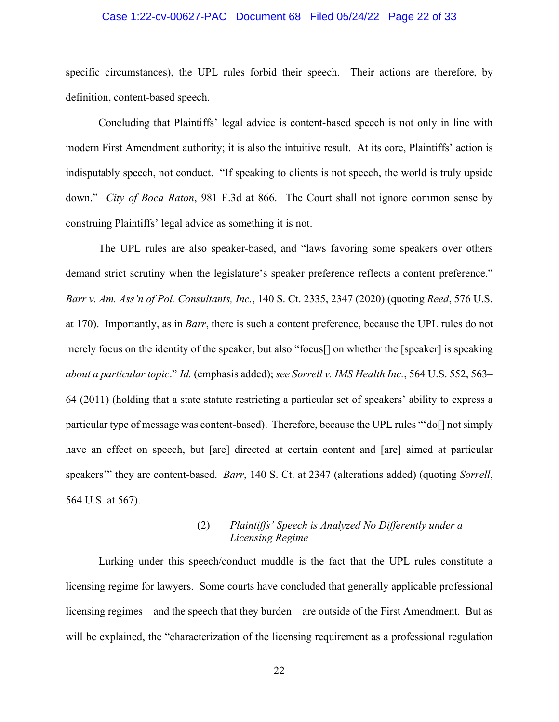# Case 1:22-cv-00627-PAC Document 68 Filed 05/24/22 Page 22 of 33

specific circumstances), the UPL rules forbid their speech. Their actions are therefore, by definition, content-based speech.

Concluding that Plaintiffs' legal advice is content-based speech is not only in line with modern First Amendment authority; it is also the intuitive result. At its core, Plaintiffs' action is indisputably speech, not conduct. "If speaking to clients is not speech, the world is truly upside down." *City of Boca Raton*, 981 F.3d at 866. The Court shall not ignore common sense by construing Plaintiffs' legal advice as something it is not.

The UPL rules are also speaker-based, and "laws favoring some speakers over others demand strict scrutiny when the legislature's speaker preference reflects a content preference." *Barr v. Am. Ass'n of Pol. Consultants, Inc.*, 140 S. Ct. 2335, 2347 (2020) (quoting *Reed*, 576 U.S. at 170). Importantly, as in *Barr*, there is such a content preference, because the UPL rules do not merely focus on the identity of the speaker, but also "focus[] on whether the [speaker] is speaking *about a particular topic*." *Id.* (emphasis added); *see Sorrell v. IMS Health Inc.*, 564 U.S. 552, 563– 64 (2011) (holding that a state statute restricting a particular set of speakers' ability to express a particular type of message was content-based). Therefore, because the UPL rules "'do[] not simply have an effect on speech, but [are] directed at certain content and [are] aimed at particular speakers'" they are content-based. *Barr*, 140 S. Ct. at 2347 (alterations added) (quoting *Sorrell*, 564 U.S. at 567).

# (2) *Plaintiffs' Speech is Analyzed No Differently under a Licensing Regime*

Lurking under this speech/conduct muddle is the fact that the UPL rules constitute a licensing regime for lawyers. Some courts have concluded that generally applicable professional licensing regimes—and the speech that they burden—are outside of the First Amendment.But as will be explained, the "characterization of the licensing requirement as a professional regulation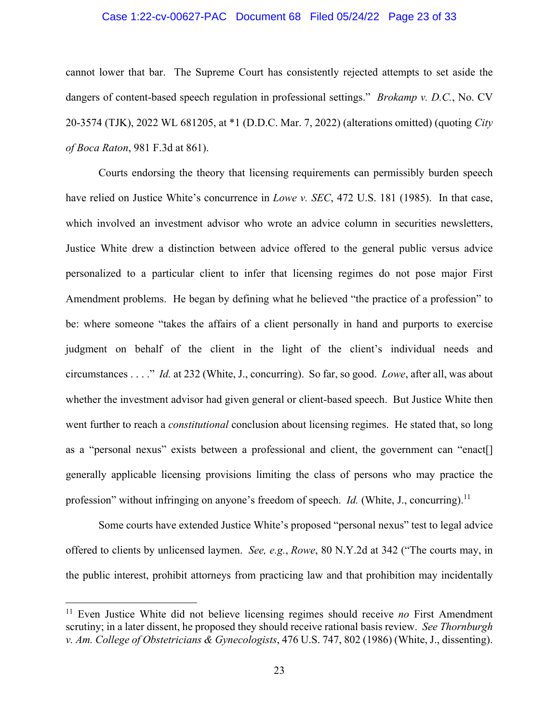# Case 1:22-cv-00627-PAC Document 68 Filed 05/24/22 Page 23 of 33

cannot lower that bar. The Supreme Court has consistently rejected attempts to set aside the dangers of content-based speech regulation in professional settings." *Brokamp v. D.C.*, No. CV 20-3574 (TJK), 2022 WL 681205, at \*1 (D.D.C. Mar. 7, 2022) (alterations omitted) (quoting *City of Boca Raton*, 981 F.3d at 861).

Courts endorsing the theory that licensing requirements can permissibly burden speech have relied on Justice White's concurrence in *Lowe v. SEC*, 472 U.S. 181 (1985). In that case, which involved an investment advisor who wrote an advice column in securities newsletters, Justice White drew a distinction between advice offered to the general public versus advice personalized to a particular client to infer that licensing regimes do not pose major First Amendment problems. He began by defining what he believed "the practice of a profession" to be: where someone "takes the affairs of a client personally in hand and purports to exercise judgment on behalf of the client in the light of the client's individual needs and circumstances . . . ." *Id.* at 232 (White, J., concurring). So far, so good. *Lowe*, after all, was about whether the investment advisor had given general or client-based speech. But Justice White then went further to reach a *constitutional* conclusion about licensing regimes. He stated that, so long as a "personal nexus" exists between a professional and client, the government can "enact[] generally applicable licensing provisions limiting the class of persons who may practice the profession" without infringing on anyone's freedom of speech. *Id.* (White, J., concurring).<sup>11</sup>

Some courts have extended Justice White's proposed "personal nexus" test to legal advice offered to clients by unlicensed laymen. *See, e.g.*, *Rowe*, 80 N.Y.2d at 342 ("The courts may, in the public interest, prohibit attorneys from practicing law and that prohibition may incidentally

<sup>11</sup> Even Justice White did not believe licensing regimes should receive *no* First Amendment scrutiny; in a later dissent, he proposed they should receive rational basis review. *See Thornburgh v. Am. College of Obstetricians & Gynecologists*, 476 U.S. 747, 802 (1986) (White, J., dissenting).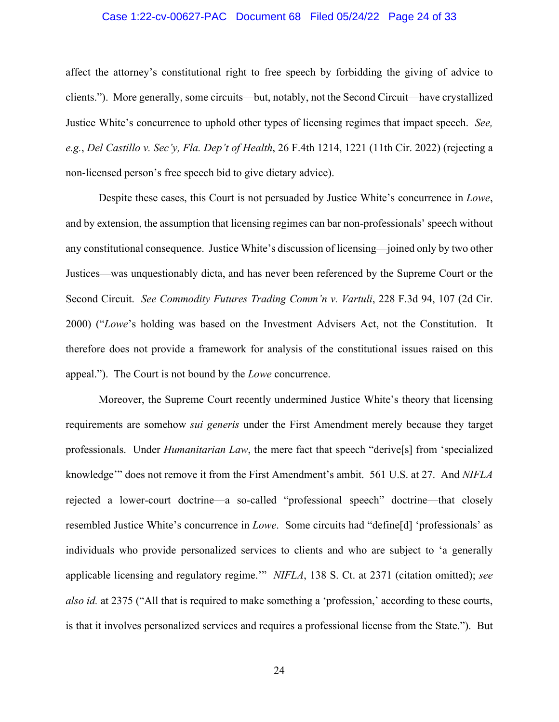# Case 1:22-cv-00627-PAC Document 68 Filed 05/24/22 Page 24 of 33

affect the attorney's constitutional right to free speech by forbidding the giving of advice to clients."). More generally, some circuits—but, notably, not the Second Circuit—have crystallized Justice White's concurrence to uphold other types of licensing regimes that impact speech. *See, e.g.*, *Del Castillo v. Sec'y, Fla. Dep't of Health*, 26 F.4th 1214, 1221 (11th Cir. 2022) (rejecting a non-licensed person's free speech bid to give dietary advice).

Despite these cases, this Court is not persuaded by Justice White's concurrence in *Lowe*, and by extension, the assumption that licensing regimes can bar non-professionals' speech without any constitutional consequence. Justice White's discussion of licensing—joined only by two other Justices—was unquestionably dicta, and has never been referenced by the Supreme Court or the Second Circuit. *See Commodity Futures Trading Comm'n v. Vartuli*, 228 F.3d 94, 107 (2d Cir. 2000) ("*Lowe*'s holding was based on the Investment Advisers Act, not the Constitution. It therefore does not provide a framework for analysis of the constitutional issues raised on this appeal."). The Court is not bound by the *Lowe* concurrence.

Moreover, the Supreme Court recently undermined Justice White's theory that licensing requirements are somehow *sui generis* under the First Amendment merely because they target professionals. Under *Humanitarian Law*, the mere fact that speech "derive[s] from 'specialized knowledge'" does not remove it from the First Amendment's ambit. 561 U.S. at 27. And *NIFLA* rejected a lower-court doctrine—a so-called "professional speech" doctrine—that closely resembled Justice White's concurrence in *Lowe*. Some circuits had "define[d] 'professionals' as individuals who provide personalized services to clients and who are subject to 'a generally applicable licensing and regulatory regime.'" *NIFLA*, 138 S. Ct. at 2371 (citation omitted); *see also id.* at 2375 ("All that is required to make something a 'profession,' according to these courts, is that it involves personalized services and requires a professional license from the State."). But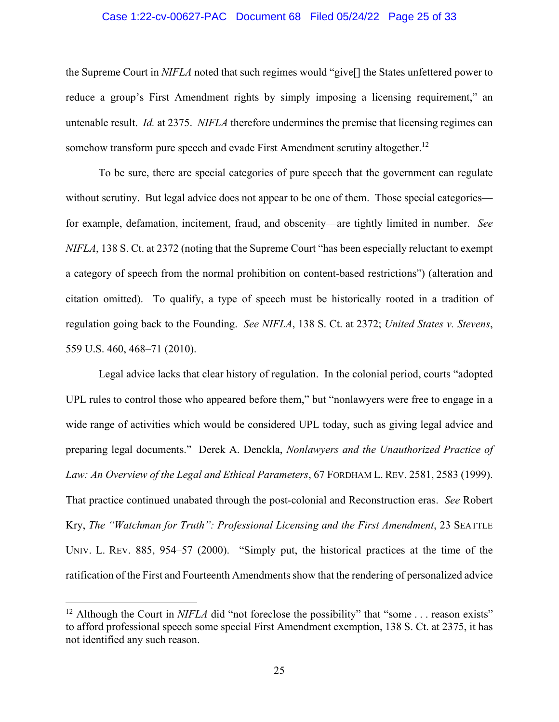# Case 1:22-cv-00627-PAC Document 68 Filed 05/24/22 Page 25 of 33

the Supreme Court in *NIFLA* noted that such regimes would "give[] the States unfettered power to reduce a group's First Amendment rights by simply imposing a licensing requirement," an untenable result. *Id.* at 2375. *NIFLA* therefore undermines the premise that licensing regimes can somehow transform pure speech and evade First Amendment scrutiny altogether.<sup>12</sup>

To be sure, there are special categories of pure speech that the government can regulate without scrutiny. But legal advice does not appear to be one of them. Those special categories for example, defamation, incitement, fraud, and obscenity—are tightly limited in number. *See NIFLA*, 138 S. Ct. at 2372 (noting that the Supreme Court "has been especially reluctant to exempt a category of speech from the normal prohibition on content-based restrictions") (alteration and citation omitted). To qualify, a type of speech must be historically rooted in a tradition of regulation going back to the Founding. *See NIFLA*, 138 S. Ct. at 2372; *United States v. Stevens*, 559 U.S. 460, 468–71 (2010).

Legal advice lacks that clear history of regulation. In the colonial period, courts "adopted UPL rules to control those who appeared before them," but "nonlawyers were free to engage in a wide range of activities which would be considered UPL today, such as giving legal advice and preparing legal documents." Derek A. Denckla, *Nonlawyers and the Unauthorized Practice of Law: An Overview of the Legal and Ethical Parameters*, 67 FORDHAM L. REV. 2581, 2583 (1999). That practice continued unabated through the post-colonial and Reconstruction eras. *See* Robert Kry, *The "Watchman for Truth": Professional Licensing and the First Amendment*, 23 SEATTLE UNIV. L. REV. 885, 954–57 (2000). "Simply put, the historical practices at the time of the ratification of the First and Fourteenth Amendments show that the rendering of personalized advice

<sup>&</sup>lt;sup>12</sup> Although the Court in *NIFLA* did "not foreclose the possibility" that "some . . . reason exists" to afford professional speech some special First Amendment exemption, 138 S. Ct. at 2375, it has not identified any such reason.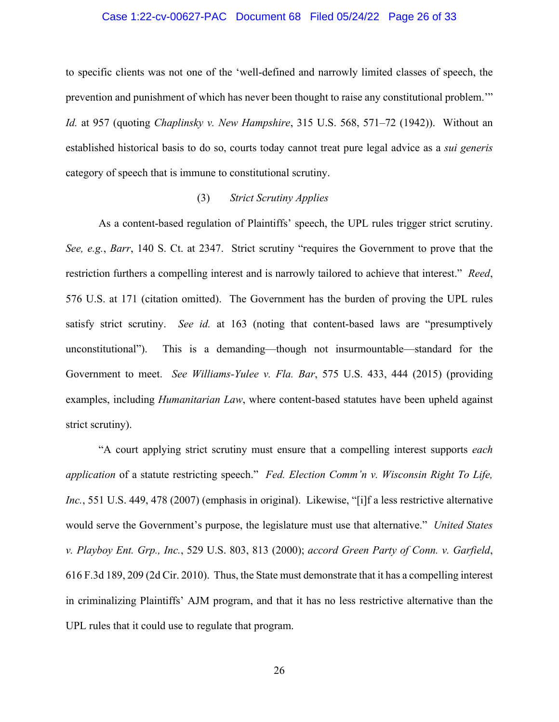#### Case 1:22-cv-00627-PAC Document 68 Filed 05/24/22 Page 26 of 33

to specific clients was not one of the 'well-defined and narrowly limited classes of speech, the prevention and punishment of which has never been thought to raise any constitutional problem.'" *Id.* at 957 (quoting *Chaplinsky v. New Hampshire*, 315 U.S. 568, 571–72 (1942)). Without an established historical basis to do so, courts today cannot treat pure legal advice as a *sui generis* category of speech that is immune to constitutional scrutiny.

# (3) *Strict Scrutiny Applies*

As a content-based regulation of Plaintiffs' speech, the UPL rules trigger strict scrutiny. *See, e.g.*, *Barr*, 140 S. Ct. at 2347. Strict scrutiny "requires the Government to prove that the restriction furthers a compelling interest and is narrowly tailored to achieve that interest." *Reed*, 576 U.S. at 171 (citation omitted). The Government has the burden of proving the UPL rules satisfy strict scrutiny. *See id.* at 163 (noting that content-based laws are "presumptively unconstitutional"). This is a demanding—though not insurmountable—standard for the Government to meet. *See Williams-Yulee v. Fla. Bar*, 575 U.S. 433, 444 (2015) (providing examples, including *Humanitarian Law*, where content-based statutes have been upheld against strict scrutiny).

"A court applying strict scrutiny must ensure that a compelling interest supports *each application* of a statute restricting speech." *Fed. Election Comm'n v. Wisconsin Right To Life, Inc.*, 551 U.S. 449, 478 (2007) (emphasis in original). Likewise, "[i]f a less restrictive alternative would serve the Government's purpose, the legislature must use that alternative." *United States v. Playboy Ent. Grp., Inc.*, 529 U.S. 803, 813 (2000); *accord Green Party of Conn. v. Garfield*, 616 F.3d 189, 209 (2d Cir. 2010). Thus, the State must demonstrate that it has a compelling interest in criminalizing Plaintiffs' AJM program, and that it has no less restrictive alternative than the UPL rules that it could use to regulate that program.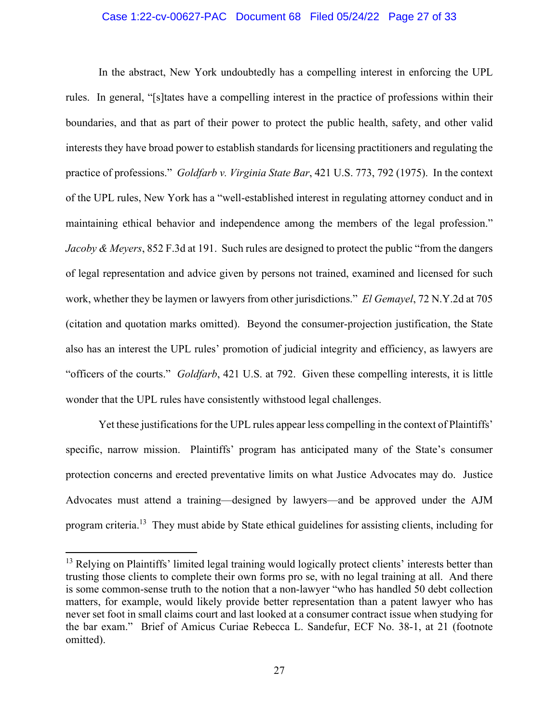# Case 1:22-cv-00627-PAC Document 68 Filed 05/24/22 Page 27 of 33

In the abstract, New York undoubtedly has a compelling interest in enforcing the UPL rules. In general, "[s]tates have a compelling interest in the practice of professions within their boundaries, and that as part of their power to protect the public health, safety, and other valid interests they have broad power to establish standards for licensing practitioners and regulating the practice of professions." *Goldfarb v. Virginia State Bar*, 421 U.S. 773, 792 (1975). In the context of the UPL rules, New York has a "well-established interest in regulating attorney conduct and in maintaining ethical behavior and independence among the members of the legal profession." *Jacoby & Meyers*, 852 F.3d at 191. Such rules are designed to protect the public "from the dangers of legal representation and advice given by persons not trained, examined and licensed for such work, whether they be laymen or lawyers from other jurisdictions." *El Gemayel*, 72 N.Y.2d at 705 (citation and quotation marks omitted). Beyond the consumer-projection justification, the State also has an interest the UPL rules' promotion of judicial integrity and efficiency, as lawyers are "officers of the courts." *Goldfarb*, 421 U.S. at 792. Given these compelling interests, it is little wonder that the UPL rules have consistently withstood legal challenges.

Yet these justifications for the UPL rules appear less compelling in the context of Plaintiffs' specific, narrow mission. Plaintiffs' program has anticipated many of the State's consumer protection concerns and erected preventative limits on what Justice Advocates may do. Justice Advocates must attend a training—designed by lawyers—and be approved under the AJM program criteria.13 They must abide by State ethical guidelines for assisting clients, including for

<sup>&</sup>lt;sup>13</sup> Relying on Plaintiffs' limited legal training would logically protect clients' interests better than trusting those clients to complete their own forms pro se, with no legal training at all. And there is some common-sense truth to the notion that a non-lawyer "who has handled 50 debt collection matters, for example, would likely provide better representation than a patent lawyer who has never set foot in small claims court and last looked at a consumer contract issue when studying for the bar exam." Brief of Amicus Curiae Rebecca L. Sandefur, ECF No. 38-1, at 21 (footnote omitted).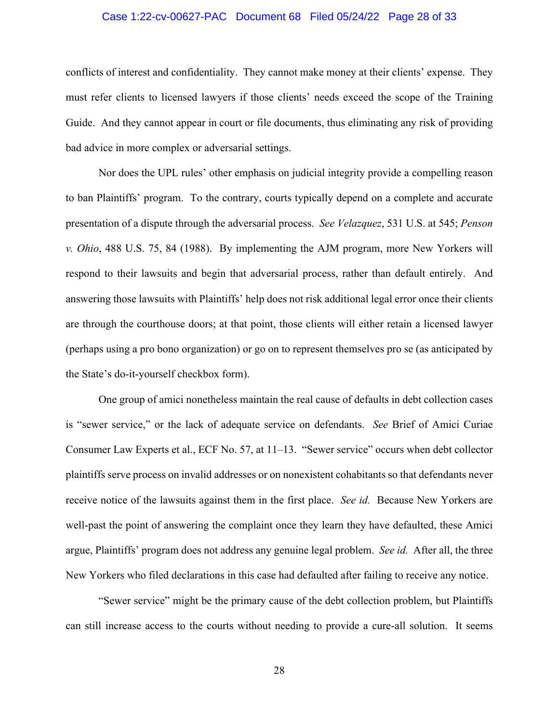# Case 1:22-cv-00627-PAC Document 68 Filed 05/24/22 Page 28 of 33

conflicts of interest and confidentiality. They cannot make money at their clients' expense. They must refer clients to licensed lawyers if those clients' needs exceed the scope of the Training Guide. And they cannot appear in court or file documents, thus eliminating any risk of providing bad advice in more complex or adversarial settings.

Nor does the UPL rules' other emphasis on judicial integrity provide a compelling reason to ban Plaintiffs' program. To the contrary, courts typically depend on a complete and accurate presentation of a dispute through the adversarial process. *See Velazquez*, 531 U.S. at 545; *Penson v. Ohio*, 488 U.S. 75, 84 (1988). By implementing the AJM program, more New Yorkers will respond to their lawsuits and begin that adversarial process, rather than default entirely. And answering those lawsuits with Plaintiffs' help does not risk additional legal error once their clients are through the courthouse doors; at that point, those clients will either retain a licensed lawyer (perhaps using a pro bono organization) or go on to represent themselves pro se (as anticipated by the State's do-it-yourself checkbox form).

One group of amici nonetheless maintain the real cause of defaults in debt collection cases is "sewer service," or the lack of adequate service on defendants. *See* Brief of Amici Curiae Consumer Law Experts et al., ECF No. 57, at 11–13. "Sewer service" occurs when debt collector plaintiffs serve process on invalid addresses or on nonexistent cohabitants so that defendants never receive notice of the lawsuits against them in the first place. *See id.* Because New Yorkers are well-past the point of answering the complaint once they learn they have defaulted, these Amici argue, Plaintiffs' program does not address any genuine legal problem. *See id.* After all, the three New Yorkers who filed declarations in this case had defaulted after failing to receive any notice.

"Sewer service" might be the primary cause of the debt collection problem, but Plaintiffs can still increase access to the courts without needing to provide a cure-all solution. It seems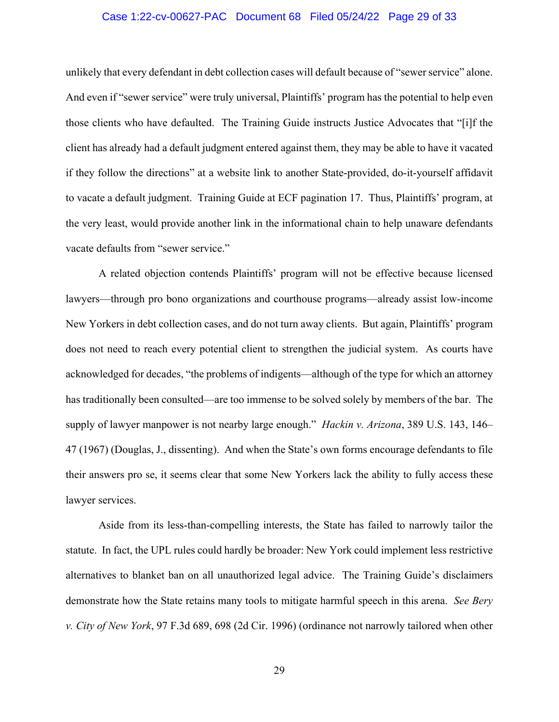# Case 1:22-cv-00627-PAC Document 68 Filed 05/24/22 Page 29 of 33

unlikely that every defendant in debt collection cases will default because of "sewer service" alone. And even if "sewer service" were truly universal, Plaintiffs' program has the potential to help even those clients who have defaulted. The Training Guide instructs Justice Advocates that "[i]f the client has already had a default judgment entered against them, they may be able to have it vacated if they follow the directions" at a website link to another State-provided, do-it-yourself affidavit to vacate a default judgment. Training Guide at ECF pagination 17. Thus, Plaintiffs' program, at the very least, would provide another link in the informational chain to help unaware defendants vacate defaults from "sewer service."

A related objection contends Plaintiffs' program will not be effective because licensed lawyers—through pro bono organizations and courthouse programs—already assist low-income New Yorkers in debt collection cases, and do not turn away clients. But again, Plaintiffs' program does not need to reach every potential client to strengthen the judicial system. As courts have acknowledged for decades, "the problems of indigents—although of the type for which an attorney has traditionally been consulted—are too immense to be solved solely by members of the bar. The supply of lawyer manpower is not nearby large enough." *Hackin v. Arizona*, 389 U.S. 143, 146– 47 (1967) (Douglas, J., dissenting). And when the State's own forms encourage defendants to file their answers pro se, it seems clear that some New Yorkers lack the ability to fully access these lawyer services.

Aside from its less-than-compelling interests, the State has failed to narrowly tailor the statute. In fact, the UPL rules could hardly be broader: New York could implement less restrictive alternatives to blanket ban on all unauthorized legal advice. The Training Guide's disclaimers demonstrate how the State retains many tools to mitigate harmful speech in this arena. *See Bery v. City of New York*, 97 F.3d 689, 698 (2d Cir. 1996) (ordinance not narrowly tailored when other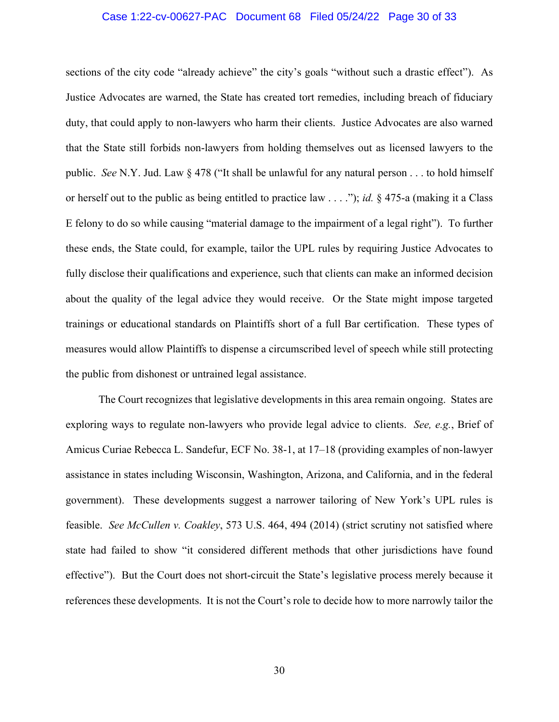# Case 1:22-cv-00627-PAC Document 68 Filed 05/24/22 Page 30 of 33

sections of the city code "already achieve" the city's goals "without such a drastic effect"). As Justice Advocates are warned, the State has created tort remedies, including breach of fiduciary duty, that could apply to non-lawyers who harm their clients. Justice Advocates are also warned that the State still forbids non-lawyers from holding themselves out as licensed lawyers to the public. *See* N.Y. Jud. Law § 478 ("It shall be unlawful for any natural person . . . to hold himself or herself out to the public as being entitled to practice law . . . ."); *id.* § 475-a (making it a Class E felony to do so while causing "material damage to the impairment of a legal right"). To further these ends, the State could, for example, tailor the UPL rules by requiring Justice Advocates to fully disclose their qualifications and experience, such that clients can make an informed decision about the quality of the legal advice they would receive. Or the State might impose targeted trainings or educational standards on Plaintiffs short of a full Bar certification. These types of measures would allow Plaintiffs to dispense a circumscribed level of speech while still protecting the public from dishonest or untrained legal assistance.

The Court recognizes that legislative developments in this area remain ongoing. States are exploring ways to regulate non-lawyers who provide legal advice to clients. *See, e.g.*, Brief of Amicus Curiae Rebecca L. Sandefur, ECF No. 38-1, at 17–18 (providing examples of non-lawyer assistance in states including Wisconsin, Washington, Arizona, and California, and in the federal government). These developments suggest a narrower tailoring of New York's UPL rules is feasible. *See McCullen v. Coakley*, 573 U.S. 464, 494 (2014) (strict scrutiny not satisfied where state had failed to show "it considered different methods that other jurisdictions have found effective"). But the Court does not short-circuit the State's legislative process merely because it references these developments. It is not the Court's role to decide how to more narrowly tailor the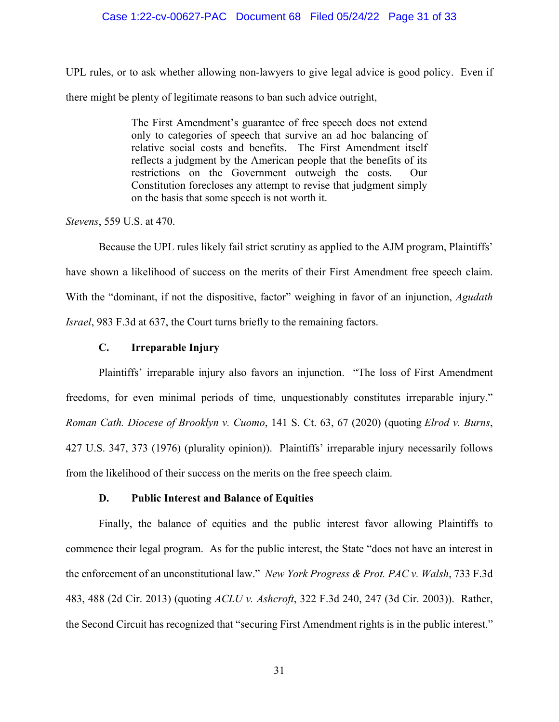# Case 1:22-cv-00627-PAC Document 68 Filed 05/24/22 Page 31 of 33

UPL rules, or to ask whether allowing non-lawyers to give legal advice is good policy. Even if there might be plenty of legitimate reasons to ban such advice outright,

> The First Amendment's guarantee of free speech does not extend only to categories of speech that survive an ad hoc balancing of relative social costs and benefits. The First Amendment itself reflects a judgment by the American people that the benefits of its restrictions on the Government outweigh the costs. Our Constitution forecloses any attempt to revise that judgment simply on the basis that some speech is not worth it.

*Stevens*, 559 U.S. at 470.

Because the UPL rules likely fail strict scrutiny as applied to the AJM program, Plaintiffs' have shown a likelihood of success on the merits of their First Amendment free speech claim. With the "dominant, if not the dispositive, factor" weighing in favor of an injunction, *Agudath Israel*, 983 F.3d at 637, the Court turns briefly to the remaining factors.

# **C. Irreparable Injury**

Plaintiffs' irreparable injury also favors an injunction. "The loss of First Amendment freedoms, for even minimal periods of time, unquestionably constitutes irreparable injury." *Roman Cath. Diocese of Brooklyn v. Cuomo*, 141 S. Ct. 63, 67 (2020) (quoting *Elrod v. Burns*, 427 U.S. 347, 373 (1976) (plurality opinion)). Plaintiffs' irreparable injury necessarily follows from the likelihood of their success on the merits on the free speech claim.

# **D. Public Interest and Balance of Equities**

Finally, the balance of equities and the public interest favor allowing Plaintiffs to commence their legal program. As for the public interest, the State "does not have an interest in the enforcement of an unconstitutional law." *New York Progress & Prot. PAC v. Walsh*, 733 F.3d 483, 488 (2d Cir. 2013) (quoting *ACLU v. Ashcroft*, 322 F.3d 240, 247 (3d Cir. 2003)). Rather, the Second Circuit has recognized that "securing First Amendment rights is in the public interest."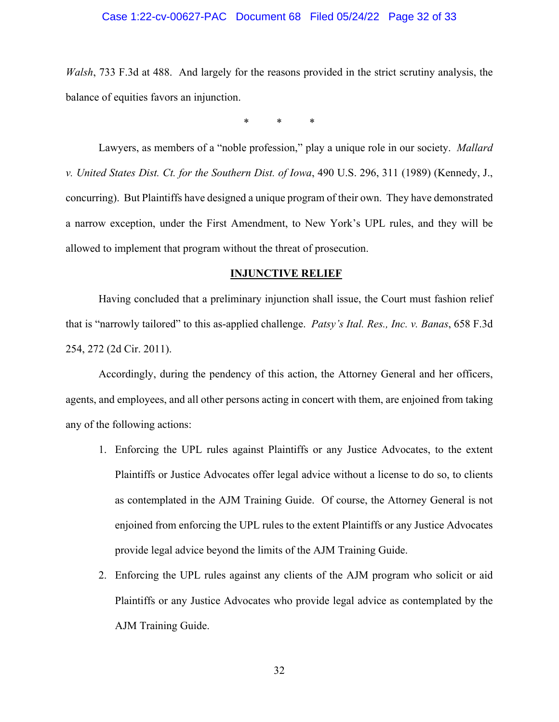# Case 1:22-cv-00627-PAC Document 68 Filed 05/24/22 Page 32 of 33

*Walsh*, 733 F.3d at 488. And largely for the reasons provided in the strict scrutiny analysis, the balance of equities favors an injunction.

\* \* \*

 Lawyers, as members of a "noble profession," play a unique role in our society. *Mallard v. United States Dist. Ct. for the Southern Dist. of Iowa*, 490 U.S. 296, 311 (1989) (Kennedy, J., concurring). But Plaintiffs have designed a unique program of their own. They have demonstrated a narrow exception, under the First Amendment, to New York's UPL rules, and they will be allowed to implement that program without the threat of prosecution.

#### **INJUNCTIVE RELIEF**

Having concluded that a preliminary injunction shall issue, the Court must fashion relief that is "narrowly tailored" to this as-applied challenge. *Patsy's Ital. Res., Inc. v. Banas*, 658 F.3d 254, 272 (2d Cir. 2011).

Accordingly, during the pendency of this action, the Attorney General and her officers, agents, and employees, and all other persons acting in concert with them, are enjoined from taking any of the following actions:

- 1. Enforcing the UPL rules against Plaintiffs or any Justice Advocates, to the extent Plaintiffs or Justice Advocates offer legal advice without a license to do so, to clients as contemplated in the AJM Training Guide. Of course, the Attorney General is not enjoined from enforcing the UPL rules to the extent Plaintiffs or any Justice Advocates provide legal advice beyond the limits of the AJM Training Guide.
- 2. Enforcing the UPL rules against any clients of the AJM program who solicit or aid Plaintiffs or any Justice Advocates who provide legal advice as contemplated by the AJM Training Guide.